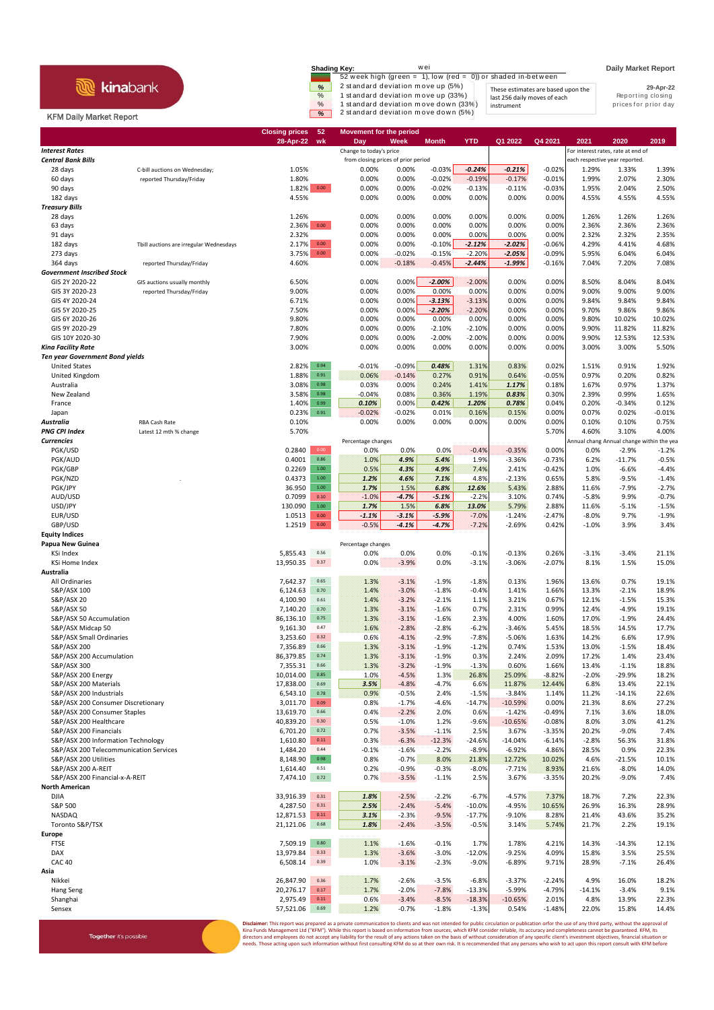## **R** kinabank

Together it's possible

## KFM Daily Market Report

| <b>Shading Key:</b> | wei                                                           |                                    | <b>Daily Market Report</b> |
|---------------------|---------------------------------------------------------------|------------------------------------|----------------------------|
|                     | 52 week high (green = 1), low (red = 0)) or shaded in-between |                                    |                            |
| %                   | 2 standard deviation move up (5%)                             | These estimates are based upon the | 29-Apr-22                  |
| $\%$                | 1 standard deviation move up (33%)                            | last 256 daily moves of each       | Reporting closing          |
| $\%$                | 1 standard deviation move down (33%)                          | instrument                         | prices for prior day       |
| $\%$                | 2 standard deviation move down (5%)                           |                                    |                            |

|                                                                    |                                         | 52<br><b>Closing prices</b>            | <b>Movement for the period</b>      |                    |                    |                     |                       |                   |                |                                            |                    |
|--------------------------------------------------------------------|-----------------------------------------|----------------------------------------|-------------------------------------|--------------------|--------------------|---------------------|-----------------------|-------------------|----------------|--------------------------------------------|--------------------|
| <b>Interest Rates</b>                                              |                                         | 28-Apr-22<br>wk                        | Day<br>Change to today's price      | Week               | <b>Month</b>       | <b>YTD</b>          | Q1 2022               | Q4 2021           | 2021           | 2020<br>For interest rates, rate at end of | 2019               |
| <b>Central Bank Bills</b>                                          |                                         |                                        | from closing prices of prior period |                    |                    |                     |                       |                   |                | each respective year reported.             |                    |
| 28 days                                                            | C-bill auctions on Wednesday;           | 1.05%                                  | 0.00%                               | 0.00%              | $-0.03%$           | $-0.24%$            | $-0.21%$              | $-0.02%$          | 1.29%          | 1.33%                                      | 1.39%              |
| 60 days                                                            | reported Thursday/Friday                | 1.80%                                  | 0.00%                               | 0.00%              | $-0.02%$           | $-0.19%$            | $-0.17%$              | $-0.01%$          | 1.99%          | 2.07%                                      | 2.30%              |
| 90 days                                                            |                                         | 1.82% 0.00                             | 0.00%                               | 0.00%              | $-0.02%$           | $-0.13%$            | $-0.11%$              | $-0.03%$          | 1.95%          | 2.04%                                      | 2.50%              |
| 182 days                                                           |                                         | 4.55%                                  | 0.00%                               | 0.00%              | 0.00%              | 0.00%               | 0.00%                 | 0.00%             | 4.55%          | 4.55%                                      | 4.55%              |
| <b>Treasury Bills</b>                                              |                                         |                                        |                                     |                    |                    |                     |                       |                   |                |                                            |                    |
| 28 days                                                            |                                         | 1.26%                                  | 0.00%                               | 0.00%              | 0.00%              | 0.00%               | 0.00%                 | 0.00%             | 1.26%          | 1.26%                                      | 1.26%              |
| 63 days                                                            |                                         | $0.00\,$<br>2.36%                      | 0.00%                               | 0.00%              | 0.00%              | 0.00%               | 0.00%                 | 0.00%             | 2.36%          | 2.36%                                      | 2.36%              |
| 91 days<br>182 days                                                |                                         | 2.32%<br>2.17%<br>0.00                 | 0.00%<br>0.00%                      | 0.00%<br>0.00%     | 0.00%<br>$-0.10%$  | 0.00%<br>$-2.12%$   | 0.00%<br>$-2.02%$     | 0.00%<br>$-0.06%$ | 2.32%<br>4.29% | 2.32%<br>4.41%                             | 2.35%<br>4.68%     |
| 273 days                                                           | Tbill auctions are irregular Wednesdays | $0.00\,$<br>3.75%                      | 0.00%                               | $-0.02%$           | $-0.15%$           | $-2.20%$            | $-2.05%$              | $-0.09%$          | 5.95%          | 6.04%                                      | 6.04%              |
| 364 days                                                           | reported Thursday/Friday                | 4.60%                                  | 0.00%                               | $-0.18%$           | $-0.45%$           | $-2.44%$            | $-1.99%$              | $-0.16%$          | 7.04%          | 7.20%                                      | 7.08%              |
| <b>Government Inscribed Stock</b>                                  |                                         |                                        |                                     |                    |                    |                     |                       |                   |                |                                            |                    |
| GIS 2Y 2020-22                                                     | GIS auctions usually monthly            | 6.50%                                  | 0.00%                               | 0.00%              | $-2.00%$           | $-2.00%$            | 0.00%                 | 0.00%             | 8.50%          | 8.04%                                      | 8.04%              |
| GIS 3Y 2020-23                                                     | reported Thursday/Friday                | 9.00%                                  | 0.00%                               | 0.00%              | 0.00%              | 0.00%               | 0.00%                 | 0.00%             | 9.00%          | 9.00%                                      | 9.00%              |
| GIS 4Y 2020-24                                                     |                                         | 6.71%                                  | 0.00%                               | 0.00%              | $-3.13%$           | $-3.13%$            | 0.00%                 | 0.00%             | 9.84%          | 9.84%                                      | 9.84%              |
| GIS 5Y 2020-25                                                     |                                         | 7.50%                                  | 0.00%                               | 0.00%              | $-2.20%$           | $-2.20%$            | 0.00%                 | 0.00%             | 9.70%          | 9.86%                                      | 9.86%              |
| GIS 6Y 2020-26                                                     |                                         | 9.80%                                  | 0.00%                               | 0.00%              | 0.00%              | 0.00%               | 0.00%                 | 0.00%             | 9.80%          | 10.02%                                     | 10.02%             |
| GIS 9Y 2020-29                                                     |                                         | 7.80%                                  | 0.00%                               | 0.00%              | $-2.10%$           | $-2.10%$            | 0.00%                 | 0.00%             | 9.90%          | 11.82%                                     | 11.82%             |
| GIS 10Y 2020-30                                                    |                                         | 7.90%                                  | 0.00%                               | 0.00%              | $-2.00%$           | $-2.00%$            | 0.00%                 | 0.00%             | 9.90%          | 12.53%                                     | 12.53%             |
| Kina Facility Rate                                                 |                                         | 3.00%                                  | 0.00%                               | 0.00%              | 0.00%              | 0.00%               | 0.00%                 | 0.00%             | 3.00%          | 3.00%                                      | 5.50%              |
| <b>Ten year Government Bond yields</b><br><b>United States</b>     |                                         | 0.94<br>2.82%                          | $-0.01%$                            | $-0.09%$           | 0.48%              | 1.31%               | 0.83%                 | 0.02%             | 1.51%          | 0.91%                                      | 1.92%              |
| United Kingdom                                                     |                                         | 1.88%<br>0.91                          | 0.06%                               | $-0.14%$           | 0.27%              | 0.91%               | 0.64%                 | $-0.05%$          | 0.97%          | 0.20%                                      | 0.82%              |
| Australia                                                          |                                         | 3.08%<br>0.98                          | 0.03%                               | 0.00%              | 0.24%              | 1.41%               | 1.17%                 | 0.18%             | 1.67%          | 0.97%                                      | 1.37%              |
| New Zealand                                                        |                                         | 3.58%<br>0.98                          | $-0.04%$                            | 0.08%              | 0.36%              | 1.19%               | 0.83%                 | 0.30%             | 2.39%          | 0.99%                                      | 1.65%              |
| France                                                             |                                         | 1.40%<br>0.99                          | 0.10%                               | 0.00%              | 0.42%              | 1.20%               | 0.78%                 | 0.04%             | 0.20%          | $-0.34%$                                   | 0.12%              |
| Japan                                                              |                                         | 0.23%<br>$0.91\,$                      | $-0.02%$                            | $-0.02%$           | 0.01%              | 0.16%               | 0.15%                 | 0.00%             | 0.07%          | 0.02%                                      | $-0.01%$           |
| <b>Australia</b>                                                   | RBA Cash Rate                           | 0.10%                                  | 0.00%                               | 0.00%              | 0.00%              | 0.00%               | 0.00%                 | 0.00%             | 0.10%          | 0.10%                                      | 0.75%              |
| <b>PNG CPI Index</b>                                               | Latest 12 mth % change                  | 5.70%                                  |                                     |                    |                    |                     |                       | 5.70%             | 4.60%          | 3.10%                                      | 4.00%              |
| <b>Currencies</b>                                                  |                                         |                                        | Percentage changes                  |                    |                    |                     |                       |                   |                | Annual chang Annual change within the yea  |                    |
| PGK/USD                                                            |                                         | 0.2840<br>0.00                         | 0.0%                                | 0.0%               | 0.0%               | $-0.4%$             | $-0.35%$              | 0.00%             | 0.0%           | $-2.9%$                                    | $-1.2%$            |
| PGK/AUD                                                            |                                         | 0.4001<br>0.86                         | 1.0%                                | 4.9%               | 5.4%               | 1.9%                | $-3.36%$              | $-0.73%$          | 6.2%           | $-11.7%$                                   | $-0.5%$            |
| PGK/GBP                                                            |                                         | 0.2269<br>$1.00\,$<br>1.00             | 0.5%                                | 4.3%               | 4.9%               | 7.4%                | 2.41%                 | $-0.42%$          | 1.0%           | $-6.6%$                                    | $-4.4%$            |
| PGK/NZD<br>PGK/JPY                                                 |                                         | 0.4373<br>36.950<br>$1.00\,$           | 1.2%<br>1.7%                        | 4.6%<br>1.5%       | 7.1%<br>6.8%       | 4.8%<br>12.6%       | $-2.13%$<br>5.43%     | 0.65%<br>2.88%    | 5.8%<br>11.6%  | $-9.5%$<br>$-7.9%$                         | $-1.4%$<br>$-2.7%$ |
| AUD/USD                                                            |                                         | 0.7099<br>0.10                         | $-1.0%$                             | $-4.7%$            | $-5.1%$            | $-2.2%$             | 3.10%                 | 0.74%             | $-5.8%$        | 9.9%                                       | $-0.7%$            |
| USD/JPY                                                            |                                         | 130.090<br>$1.00\,$                    | 1.7%                                | 1.5%               | 6.8%               | 13.0%               | 5.79%                 | 2.88%             | 11.6%          | $-5.1%$                                    | $-1.5%$            |
| EUR/USD                                                            |                                         | 1.0513<br>0.00                         | $-1.1%$                             | $-3.1%$            | $-5.9%$            | $-7.0%$             | $-1.24%$              | $-2.47%$          | $-8.0%$        | 9.7%                                       | $-1.9%$            |
| GBP/USD                                                            |                                         | 1.2519<br>$0.00\,$                     | $-0.5%$                             | $-4.1%$            | $-4.7%$            | $-7.2%$             | $-2.69%$              | 0.42%             | $-1.0%$        | 3.9%                                       | 3.4%               |
| <b>Equity Indices</b>                                              |                                         |                                        |                                     |                    |                    |                     |                       |                   |                |                                            |                    |
| Papua New Guinea                                                   |                                         |                                        | Percentage changes                  |                    |                    |                     |                       |                   |                |                                            |                    |
| KSi Index                                                          |                                         | 0.56<br>5,855.43                       | 0.0%                                | 0.0%               | 0.0%               | $-0.1%$             | $-0.13%$              | 0.26%             | $-3.1%$        | $-3.4%$                                    | 21.1%              |
| <b>KSi Home Index</b>                                              |                                         | 13,950.35<br>0.37                      | 0.0%                                | $-3.9%$            | 0.0%               | $-3.1%$             | $-3.06%$              | $-2.07%$          | 8.1%           | 1.5%                                       | 15.0%              |
| Australia                                                          |                                         |                                        |                                     |                    |                    |                     |                       |                   |                |                                            |                    |
| All Ordinaries                                                     |                                         | 0.65<br>7,642.37                       | 1.3%                                | $-3.1%$            | $-1.9%$            | $-1.8%$             | 0.13%                 | 1.96%             | 13.6%          | 0.7%                                       | 19.1%              |
| S&P/ASX 100<br><b>S&amp;P/ASX 20</b>                               |                                         | 6,124.63<br>0.70<br>4,100.90<br>0.61   | 1.4%<br>1.4%                        | $-3.0%$<br>$-3.2%$ | $-1.8%$<br>$-2.1%$ | $-0.4%$<br>1.1%     | 1.41%<br>3.21%        | 1.66%<br>0.67%    | 13.3%<br>12.1% | $-2.1%$<br>$-1.5%$                         | 18.9%<br>15.3%     |
| S&P/ASX 50                                                         |                                         | 7,140.20<br>0.70                       | 1.3%                                | $-3.1%$            | $-1.6%$            | 0.7%                | 2.31%                 | 0.99%             | 12.4%          | $-4.9%$                                    | 19.1%              |
| S&P/ASX 50 Accumulation                                            |                                         | 86,136.10<br>0.75                      | 1.3%                                | $-3.1%$            | $-1.6%$            | 2.3%                | 4.00%                 | 1.60%             | 17.0%          | $-1.9%$                                    | 24.4%              |
| S&P/ASX Midcap 50                                                  |                                         | 9,161.30<br>0.47                       | 1.6%                                | $-2.8%$            | $-2.8%$            | $-6.2%$             | $-3.46%$              | 5.45%             | 18.5%          | 14.5%                                      | 17.7%              |
| S&P/ASX Small Ordinaries                                           |                                         | 3,253.60<br>0.32                       | 0.6%                                | $-4.1%$            | $-2.9%$            | $-7.8%$             | -5.06%                | 1.63%             | 14.2%          | 6.6%                                       | 17.9%              |
| S&P/ASX 200                                                        |                                         | 7,356.89<br>0.66                       | 1.3%                                | $-3.1%$            | $-1.9%$            | $-1.2%$             | 0.74%                 | 1.53%             | 13.0%          | $-1.5%$                                    | 18.4%              |
| S&P/ASX 200 Accumulation                                           |                                         | 86,379.85<br>0.74                      | 1.3%                                | $-3.1%$            | $-1.9%$            | 0.3%                | 2.24%                 | 2.09%             | 17.2%          | 1.4%                                       | 23.4%              |
| S&P/ASX 300                                                        |                                         | 7,355.31<br>0.66                       | 1.3%                                | $-3.2%$            | $-1.9%$            | $-1.3%$             | 0.60%                 | 1.66%             | 13.4%          | $-1.1%$                                    | 18.8%              |
| S&P/ASX 200 Energy                                                 |                                         | 10,014.00<br>0.85                      | 1.0%                                | $-4.5%$            | 1.3%               | 26.8%               | 25.09%                | $-8.82%$          | $-2.0%$        | $-29.9%$                                   | 18.2%              |
| S&P/ASX 200 Materials                                              |                                         | 17,838.00<br>0.69                      | 3.5%                                | $-4.8%$            | $-4.7%$            | 6.6%                | 11.87%                | 12.44%            | 6.8%           | 13.4%                                      | 22.1%              |
| S&P/ASX 200 Industrials                                            |                                         | 6,543.10<br>0.78<br>3,011.70<br>0.09   | 0.9%                                | $-0.5%$            | 2.4%               | $-1.5%$             | $-3.84%$              | 1.14%             | 11.2%<br>21.3% | $-14.1%$<br>8.6%                           | 22.6%              |
| S&P/ASX 200 Consumer Discretionary<br>S&P/ASX 200 Consumer Staples |                                         | 13,619.70<br>0.66                      | 0.8%<br>0.4%                        | $-1.7%$<br>$-2.2%$ | $-4.6%$<br>2.0%    | $-14.7%$<br>0.6%    | $-10.59%$<br>$-1.42%$ | 0.00%<br>$-0.49%$ | 7.1%           | 3.6%                                       | 27.2%<br>18.0%     |
| S&P/ASX 200 Healthcare                                             |                                         | 40,839.20<br>0.30                      | 0.5%                                | $-1.0%$            | 1.2%               | $-9.6%$             | $-10.65%$             | $-0.08%$          | 8.0%           | 3.0%                                       | 41.2%              |
| S&P/ASX 200 Financials                                             |                                         | 6,701.20<br>0.72                       | 0.7%                                | $-3.5%$            | $-1.1%$            | 2.5%                | 3.67%                 | $-3.35%$          | 20.2%          | $-9.0%$                                    | 7.4%               |
| S&P/ASX 200 Information Technology                                 |                                         | 1,610.80<br>0.11                       | 0.3%                                | $-6.3%$            | $-12.3%$           | $-24.6%$            | $-14.04%$             | $-6.14%$          | $-2.8%$        | 56.3%                                      | 31.8%              |
| S&P/ASX 200 Telecommunication Services                             |                                         | 1,484.20<br>0.44                       | $-0.1%$                             | $-1.6%$            | $-2.2%$            | $-8.9%$             | $-6.92%$              | 4.86%             | 28.5%          | 0.9%                                       | 22.3%              |
| S&P/ASX 200 Utilities                                              |                                         | 8,148.90<br>0.98                       | 0.8%                                | $-0.7%$            | 8.0%               | 21.8%               | 12.72%                | 10.02%            | 4.6%           | $-21.5%$                                   | 10.1%              |
| S&P/ASX 200 A-REIT                                                 |                                         | $0.51\,$<br>1,614.40                   | 0.2%                                | $-0.9%$            | $-0.3%$            | $-8.0%$             | $-7.71%$              | 8.93%             | 21.6%          | $-8.0%$                                    | 14.0%              |
| S&P/ASX 200 Financial-x-A-REIT                                     |                                         | 7,474.10<br>0.72                       | 0.7%                                | $-3.5%$            | $-1.1%$            | 2.5%                | 3.67%                 | $-3.35%$          | 20.2%          | $-9.0%$                                    | 7.4%               |
| <b>North American</b>                                              |                                         |                                        |                                     |                    |                    |                     |                       |                   |                |                                            |                    |
| <b>DJIA</b>                                                        |                                         | 33,916.39<br>0.31                      | 1.8%                                | $-2.5%$            | $-2.2%$            | $-6.7%$             | $-4.57%$              | 7.37%             | 18.7%          | 7.2%                                       | 22.3%              |
| S&P 500                                                            |                                         | 0.31<br>4,287.50                       | 2.5%                                | $-2.4%$            | $-5.4%$            | $-10.0%$            | $-4.95%$              | 10.65%            | 26.9%          | 16.3%                                      | 28.9%              |
| NASDAQ                                                             |                                         | 0.11<br>12,871.53<br>21,121.06<br>0.68 | 3.1%<br>1.8%                        | $-2.3%$<br>$-2.4%$ | $-9.5%$<br>$-3.5%$ | $-17.7%$<br>$-0.5%$ | $-9.10%$              | 8.28%<br>5.74%    | 21.4%          | 43.6%<br>2.2%                              | 35.2%<br>19.1%     |
| Toronto S&P/TSX<br>Europe                                          |                                         |                                        |                                     |                    |                    |                     | 3.14%                 |                   | 21.7%          |                                            |                    |
| <b>FTSE</b>                                                        |                                         | 7,509.19<br>0.80                       | 1.1%                                | $-1.6%$            | $-0.1%$            | 1.7%                | 1.78%                 | 4.21%             | 14.3%          | $-14.3%$                                   | 12.1%              |
| DAX                                                                |                                         | 13,979.84<br>0.33                      | 1.3%                                | $-3.6%$            | $-3.0%$            | $-12.0%$            | $-9.25%$              | 4.09%             | 15.8%          | 3.5%                                       | 25.5%              |
| <b>CAC 40</b>                                                      |                                         | 6,508.14<br>0.39                       | 1.0%                                | $-3.1%$            | $-2.3%$            | $-9.0%$             | $-6.89%$              | 9.71%             | 28.9%          | $-7.1%$                                    | 26.4%              |
| Asia                                                               |                                         |                                        |                                     |                    |                    |                     |                       |                   |                |                                            |                    |
| Nikkei                                                             |                                         | 26,847.90<br>0.36                      | 1.7%                                | $-2.6%$            | $-3.5%$            | $-6.8%$             | $-3.37%$              | $-2.24%$          | 4.9%           | 16.0%                                      | 18.2%              |
| Hang Seng                                                          |                                         | 20,276.17<br>0.17                      | 1.7%                                | $-2.0%$            | $-7.8%$            | $-13.3%$            | $-5.99%$              | $-4.79%$          | $-14.1%$       | $-3.4%$                                    | 9.1%               |
| Shanghai                                                           |                                         | 2,975.49<br>0.11                       | 0.6%                                | $-3.4%$            | $-8.5%$            | $-18.3%$            | $-10.65%$             | 2.01%             | 4.8%           | 13.9%                                      | 22.3%              |
| Sensex                                                             |                                         | 0.69<br>57,521.06                      | 1.2%                                | $-0.7%$            | $-1.8%$            | $-1.3%$             | 0.54%                 | $-1.48%$          | 22.0%          | 15.8%                                      | 14.4%              |

**Disclaimer**: This report was prepared as a private communication to clients and was not intended for public circulation or publication orfor the use of any third party, without the approval of<br>Kina Funds Management Ltd ("